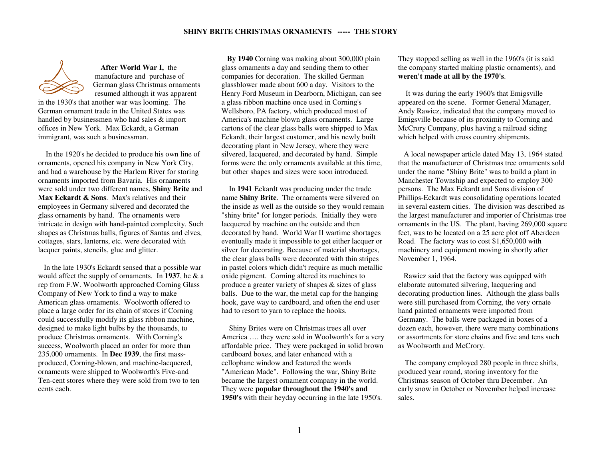

**After World War I,** the manufacture and purchase of German glass Christmas ornaments resumed although it was apparent

in the 1930's that another war was looming. The German ornament trade in the United States was handled by businessmen who had sales & import offices in New York. Max Eckardt, a German immigrant, was such a businessman.

 In the 1920's he decided to produce his own line of ornaments, opened his company in New York City, and had a warehouse by the Harlem River for storingornaments imported from Bavaria. His ornaments were sold under two different names, **Shiny Brite** and **Max Eckardt & Sons**. Max's relatives and their employees in Germany silvered and decorated the glass ornaments by hand. The ornaments were intricate in design with hand-painted complexity. Such shapes as Christmas balls, figures of Santas and elves, cottages, stars, lanterns, etc. were decorated withlacquer paints, stencils, glue and glitter.

 In the late 1930's Eckardt sensed that a possible war would affect the supply of ornaments. In **1937**, he & a rep from F.W. Woolworth approached Corning Glass Company of New York to find a way to make American glass ornaments. Woolworth offered to place a large order for its chain of stores if Corning could successfully modify its glass ribbon machine,designed to make light bulbs by the thousands, to produce Christmas ornaments. With Corning's success, Woolworth placed an order for more than 235,000 ornaments. In **Dec 1939**, the first massproduced, Corning-blown, and machine-lacquered, ornaments were shipped to Woolworth's Five-and Ten-cent stores where they were sold from two to ten cents each.

 **By 1940** Corning was making about 300,000 plain glass ornaments a day and sending them to other companies for decoration. The skilled German glassblower made about 600 a day. Visitors to the Henry Ford Museum in Dearborn, Michigan, can see a glass ribbon machine once used in Corning's Wellsboro, PA factory, which produced most of America's machine blown glass ornaments. Large cartons of the clear glass balls were shipped to Max Eckardt, their largest customer, and his newly built decorating plant in New Jersey, where they were silvered, lacquered, and decorated by hand. Simple forms were the only ornaments available at this time, but other shapes and sizes were soon introduced.

 In **1941** Eckardt was producing under the trade name **Shiny Brite**. The ornaments were silvered on the inside as well as the outside so they would remain "shiny brite" for longer periods. Initially they were lacquered by machine on the outside and then decorated by hand. World War II wartime shortages eventually made it impossible to get either lacquer or silver for decorating. Because of material shortages, the clear glass balls were decorated with thin stripes in pastel colors which didn't require as much metallic oxide pigment. Corning altered its machines to produce a greater variety of shapes & sizes of glass balls. Due to the war, the metal cap for the hanging hook, gave way to cardboard, and often the end userhad to resort to yarn to replace the hooks.

 Shiny Brites were on Christmas trees all over America …. they were sold in Woolworth's for a very affordable price. They were packaged in solid brown cardboard boxes, and later enhanced with a cellophane window and featured the words "American Made". Following the war, Shiny Brite became the largest ornament company in the world. They were **popular throughout the 1940's and 1950's** with their heyday occurring in the late 1950's.

They stopped selling as well in the 1960's (it is said the company started making plastic ornaments), and **weren't made at all by the 1970's**.

 It was during the early 1960's that Emigsville appeared on the scene. Former General Manager, Andy Rawicz, indicated that the company moved to Emigsville because of its proximity to Corning and McCrory Company, plus having a railroad siding which helped with cross country shipments.

 A local newspaper article dated May 13, 1964 stated that the manufacturer of Christmas tree ornaments sold under the name "Shiny Brite" was to build a plant in Manchester Township and expected to employ 300 persons. The Max Eckardt and Sons division of Phillips-Eckardt was consolidating operations located in several eastern cities. The division was described as the largest manufacturer and importer of Christmas tree ornaments in the US. The plant, having 269,000 square feet, was to be located on a 25 acre plot off Aberdeen Road. The factory was to cost \$1,650,000 with machinery and equipment moving in shortly after November 1, 1964.

 Rawicz said that the factory was equipped with elaborate automated silvering, lacquering and decorating production lines. Although the glass balls were still purchased from Corning, the very ornate hand painted ornaments were imported from Germany. The balls were packaged in boxes of a dozen each, however, there were many combinations or assortments for store chains and five and tens such as Woolworth and McCrory.

The company employed 280 people in three shifts, produced year round, storing inventory for the Christmas season of October thru December. An early snow in October or November helped increase sales.